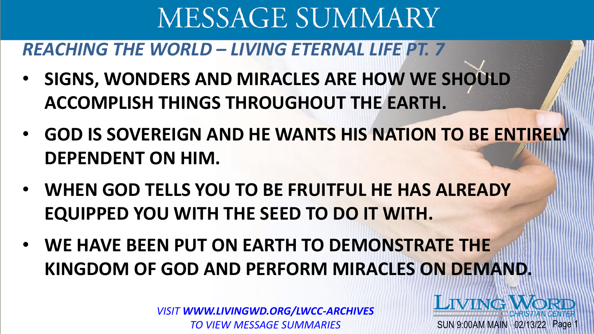### *REACHING THE WORLD – LIVING ETERNAL LIFE PT. 7*

- **SIGNS, WONDERS AND MIRACLES ARE HOW WE SHOULD ACCOMPLISH THINGS THROUGHOUT THE EARTH.**
- **GOD IS SOVEREIGN AND HE WANTS HIS NATION TO BE ENTIRELY DEPENDENT ON HIM.**
- **WHEN GOD TELLS YOU TO BE FRUITFUL HE HAS ALREADY EQUIPPED YOU WITH THE SEED TO DO IT WITH.**
- **WE HAVE BEEN PUT ON EARTH TO DEMONSTRATE THE KINGDOM OF GOD AND PERFORM MIRACLES ON DEMAND.**

*VISIT WWW.LIVINGWD.ORG/LWCC-ARCHIVES TO VIEW MESSAGE SUMMARIES*

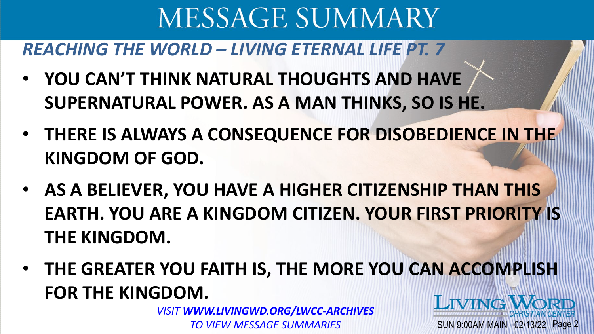### *REACHING THE WORLD – LIVING ETERNAL LIFE PT. 7*

- **YOU CAN'T THINK NATURAL THOUGHTS AND HAVE SUPERNATURAL POWER. AS A MAN THINKS, SO IS HE.**
- **THERE IS ALWAYS A CONSEQUENCE FOR DISOBEDIENCE IN THE KINGDOM OF GOD.**
- **AS A BELIEVER, YOU HAVE A HIGHER CITIZENSHIP THAN THIS EARTH. YOU ARE A KINGDOM CITIZEN. YOUR FIRST PRIORITY IS THE KINGDOM.**
- **THE GREATER YOU FAITH IS, THE MORE YOU CAN ACCOMPLISH FOR THE KINGDOM. LIVINGV**

SUN 9:00AM MAIN 02/13/22 Page 2

*VISIT WWW.LIVINGWD.ORG/LWCC-ARCHIVES TO VIEW MESSAGE SUMMARIES*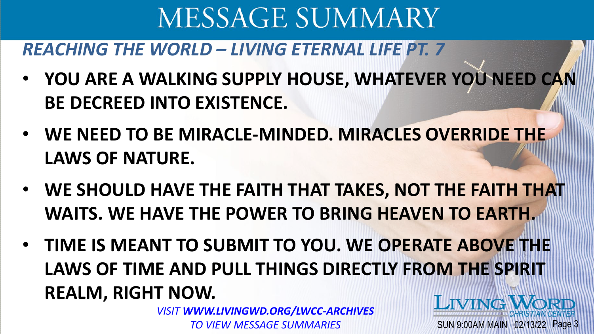### *REACHING THE WORLD – LIVING ETERNAL LIFE PT. 7*

- **YOU ARE A WALKING SUPPLY HOUSE, WHATEVER YOU NEED CAN BE DECREED INTO EXISTENCE.**
- **WE NEED TO BE MIRACLE-MINDED. MIRACLES OVERRIDE THE LAWS OF NATURE.**
- **WE SHOULD HAVE THE FAITH THAT TAKES, NOT THE FAITH THAT WAITS. WE HAVE THE POWER TO BRING HEAVEN TO EARTH.**
- **TIME IS MEANT TO SUBMIT TO YOU. WE OPERATE ABOVE THE LAWS OF TIME AND PULL THINGS DIRECTLY FROM THE SPIRIT REALM, RIGHT NOW. LIVING WORL**

SUN 9:00AM MAIN 02/13/22 Page 3

*VISIT WWW.LIVINGWD.ORG/LWCC-ARCHIVES TO VIEW MESSAGE SUMMARIES*